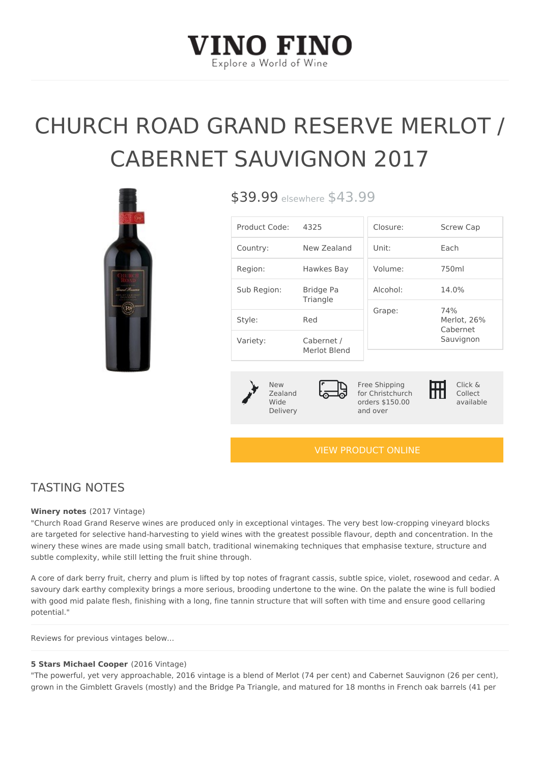# CHURCH ROAD GRAND RESERVE CABERNET SAUVIGNON 2017

\$39.99<sub>sewhe</sub> \$43.99

| Product Code4:325     |                            | Closure:                         | Screw Cap                      |  |  |
|-----------------------|----------------------------|----------------------------------|--------------------------------|--|--|
| Country:              | New Zealand Unit:          |                                  | $E$ a c h                      |  |  |
| Region:               | Hawkes Bay                 | $V$ o $I$ u m $e$ :              | 750ml                          |  |  |
| Sub Region: Bridge Pa | Triangle                   | $A$   $C$ $O$ $h$ $O$   $\colon$ | 14.0%                          |  |  |
| Style:                | Red                        | Grape:                           | 74%<br>Merlot, 26%<br>Cabernet |  |  |
| Variety:              | Cabernet /<br>Merlot Blend |                                  | Sauvignon                      |  |  |
|                       |                            |                                  |                                |  |  |

|  | N e w |          |  |  |
|--|-------|----------|--|--|
|  |       | Zealand  |  |  |
|  | Wide  |          |  |  |
|  |       | Delivery |  |  |
|  |       |          |  |  |

Free Shipping for Christchurch orders \$150.00 and over

Click & Collect available

### [VIEW PRODUCT ONLINE](https://vinofino.co.nz/product/church-road-grand-reserve-merlot-cabernet-sauvignon-2017/)

# TASTING NOTES

#### Winery note(2017 Vintage)

"Church Road Grand Reserve wines are produced only in exceptional vintages. The very best lo are targeted for selective hand-harvesting to yield wines with the greatest possible flavour, depth and concent winery these wines are made using small batch, traditional winemaking techniques that emphasi subtle complexity, while still letting the fruit shine through.

A core of dark berry fruit, cherry and plum is lifted by top notes of fragrant cassis, subtle spic savoury dark earthy complexity brings a more serious, brooding undertone to the wine. On the palate the malate the manner of the manner of the manner wind bodied the manner of the manner of the manner of the manner of the with good mid palate flesh, finishing with a long, fine tannin structure that will soften with time potential."

Reviews for previous vintages below...

#### 5 Stars Michael Co6 $x$ et6 Vintage)

"The powerful, yet very approachable, 2016 vintage is a blend of Merlot (74 per cent) and Cabe grown in the Gimblett Gravels (mostly) and the Bridge Pa Triangle, and matured for 18 months i